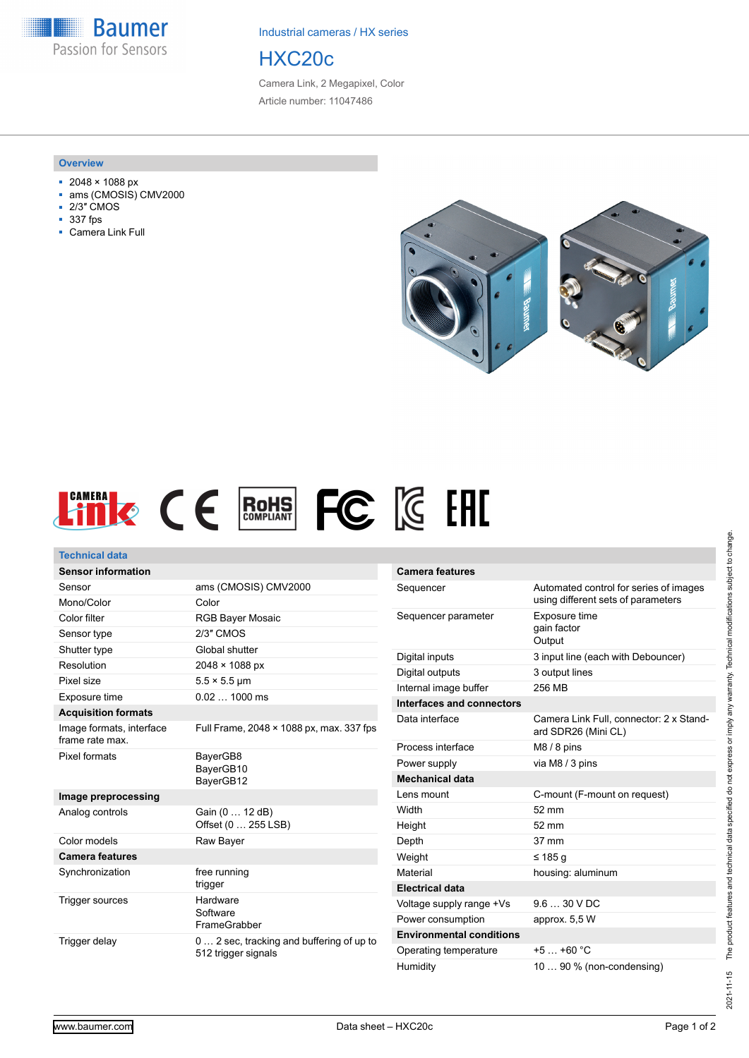**Baumer** Passion for Sensors

Industrial cameras / HX series

## HXC20c

Camera Link, 2 Megapixel, Color Article number: 11047486

#### **Overview**

- 2048 × 1088 px
- ams (CMOSIS) CMV2000
- 2/3″ CMOS
- 337 fps
- Camera Link Full





#### **Technical data Sensor information** Sensor ams (CMOSIS) CMV2000 Mono/Color Color Color filter RGB Bayer Mosaic Sensor type 2/3" CMOS Shutter type Global shutter Resolution 2048 × 1088 px Pixel size 5.5 × 5.5 µm Exposure time 0.02 ... 1000 ms **Acquisition formats** Image formats, interface frame rate max. Full Frame, 2048 × 1088 px, max. 337 fps Pixel formats BayerGB8 BayerGB10 BayerGB12 **Image preprocessing** Analog controls Gain (0 ... 12 dB) Offset (0 … 255 LSB) Color models Raw Bayer **Camera features** Synchronization free running trigger Trigger sources Hardware **Software** FrameGrabber Trigger delay 0 … 2 sec, tracking and buffering of up to 512 trigger signals

| <b>Camera features</b>           |                                                                              |
|----------------------------------|------------------------------------------------------------------------------|
| Sequencer                        | Automated control for series of images<br>using different sets of parameters |
| Sequencer parameter              | Exposure time<br>gain factor<br>Output                                       |
| Digital inputs                   | 3 input line (each with Debouncer)                                           |
| Digital outputs                  | 3 output lines                                                               |
| Internal image buffer            | 256 MB                                                                       |
| <b>Interfaces and connectors</b> |                                                                              |
| Data interface                   | Camera Link Full. connector: 2 x Stand-<br>ard SDR26 (Mini CL)               |
| Process interface                | $M8/8$ pins                                                                  |
| Power supply                     | via M8 / 3 pins                                                              |
| <b>Mechanical data</b>           |                                                                              |
| Lens mount                       | C-mount (F-mount on request)                                                 |
| Width                            | $52 \text{ mm}$                                                              |
| Height                           | 52 mm                                                                        |
| Depth                            | $37 \text{ mm}$                                                              |
| Weight                           | ≤ 185 a                                                                      |
| Material                         | housing: aluminum                                                            |
| <b>Electrical data</b>           |                                                                              |
| Voltage supply range +Vs         | $9.630$ VDC                                                                  |
| Power consumption                | approx. 5,5 W                                                                |
| <b>Environmental conditions</b>  |                                                                              |
| Operating temperature            | $+5$ $+60$ °C                                                                |
| Humidity                         | $1090\%$ (non-condensing)                                                    |